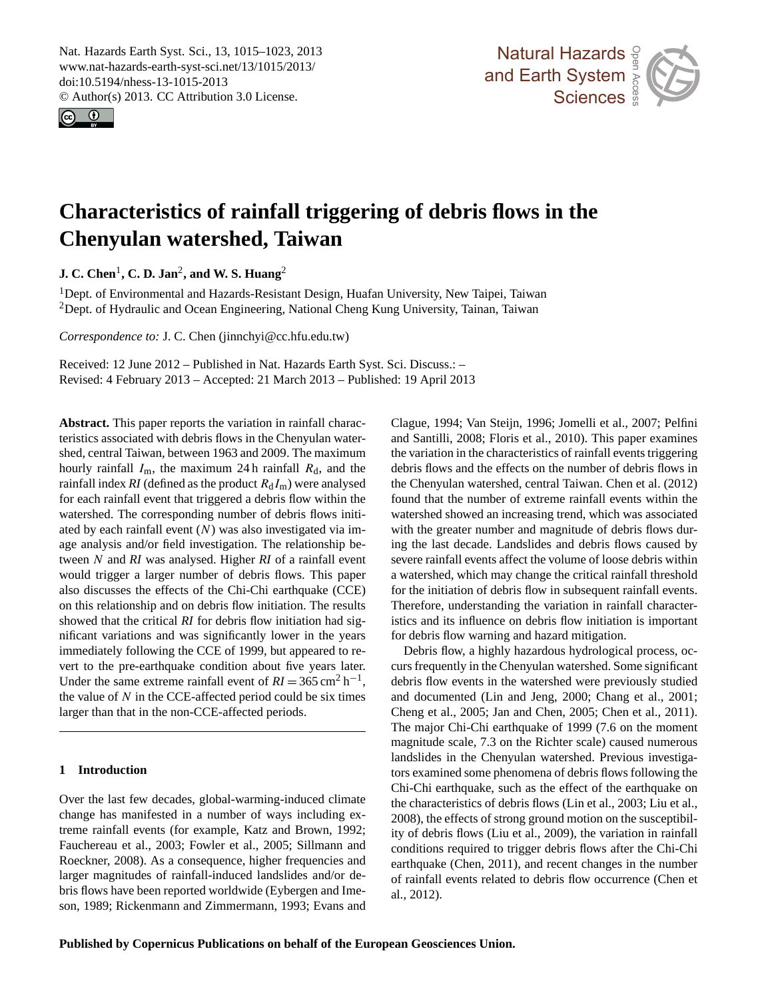<span id="page-0-0"></span>Nat. Hazards Earth Syst. Sci., 13, 1015–1023, 2013 www.nat-hazards-earth-syst-sci.net/13/1015/2013/ doi:10.5194/nhess-13-1015-2013 © Author(s) 2013. CC Attribution 3.0 License.





# **Characteristics of rainfall triggering of debris flows in the Chenyulan watershed, Taiwan**

**J. C. Chen**<sup>1</sup> **, C. D. Jan**<sup>2</sup> **, and W. S. Huang**<sup>2</sup>

<sup>1</sup>Dept. of Environmental and Hazards-Resistant Design, Huafan University, New Taipei, Taiwan <sup>2</sup>Dept. of Hydraulic and Ocean Engineering, National Cheng Kung University, Tainan, Taiwan

*Correspondence to:* J. C. Chen (jinnchyi@cc.hfu.edu.tw)

Received: 12 June 2012 – Published in Nat. Hazards Earth Syst. Sci. Discuss.: – Revised: 4 February 2013 – Accepted: 21 March 2013 – Published: 19 April 2013

**Abstract.** This paper reports the variation in rainfall characteristics associated with debris flows in the Chenyulan watershed, central Taiwan, between 1963 and 2009. The maximum hourly rainfall  $I_m$ , the maximum 24 h rainfall  $R_d$ , and the rainfall index  $RI$  (defined as the product  $R_dI_m$ ) were analysed for each rainfall event that triggered a debris flow within the watershed. The corresponding number of debris flows initiated by each rainfall event  $(N)$  was also investigated via image analysis and/or field investigation. The relationship between N and *RI* was analysed. Higher *RI* of a rainfall event would trigger a larger number of debris flows. This paper also discusses the effects of the Chi-Chi earthquake (CCE) on this relationship and on debris flow initiation. The results showed that the critical *RI* for debris flow initiation had significant variations and was significantly lower in the years immediately following the CCE of 1999, but appeared to revert to the pre-earthquake condition about five years later. Under the same extreme rainfall event of  $RI = 365 \text{ cm}^2 \text{ h}^{-1}$ , the value of  $N$  in the CCE-affected period could be six times larger than that in the non-CCE-affected periods.

### **1 Introduction**

Over the last few decades, global-warming-induced climate change has manifested in a number of ways including extreme rainfall events (for example, Katz and Brown, 1992; Fauchereau et al., 2003; Fowler et al., 2005; Sillmann and Roeckner, 2008). As a consequence, higher frequencies and larger magnitudes of rainfall-induced landslides and/or debris flows have been reported worldwide (Eybergen and Imeson, 1989; Rickenmann and Zimmermann, 1993; Evans and

Clague, 1994; Van Steijn, 1996; Jomelli et al., 2007; Pelfini and Santilli, 2008; Floris et al., 2010). This paper examines<br>the veristion in the characteristics of reinfall quote trigogring 2)<br>pent Earth System watershed showed an increasing trend, which was associated with the greater number and magnitude of debris flows durnts<br><sup>7</sup>as<br>ws a *materined*, which may enarge the entrear rainfall are shots. Therefore, understanding the variation in rainfall characteristics and its influence on debris flow initiation is important air<br>`al<br>1 i the variation in the characteristics of rainfall events triggering debris flows and the effects on the number of debris flows in the Chenyulan watershed, central Taiwan. Chen et al. (2012) found that the number of extreme rainfall events within the ing the last decade. Landslides and debris flows caused by severe rainfall events affect the volume of loose debris within a watershed, which may change the critical rainfall threshold for debris flow warning and hazard mitigation.

r debris now warning and nazard intugation.<br>Debris flow, a highly hazardous hydrological process, ocand documented (Lin and Jeng, 2000; Chang et al., 2001; Let Use and 2005; Jan and Let and 2005; Let and 2011).<br>The major Chi-Chi earthquake of 1999 (7.6 on the moment Ole<br>e<br>n t tors examined some phenomena of debris flows following the Earth System System as the effect of the earthquake on<br>the characteristics of debris flows (Lin et al., 2003; Liu et al., 2008), the effects of strong ground motion on the susceptibilfc<br>can<br>03<br>e of rainfall events related to debris flow occurrence (Chen et al. 2012). n<br>en curs frequently in the Chenyulan watershed. Some significant debris flow events in the watershed were previously studied Cheng et al., 2005; Jan and Chen, 2005; Chen et al., 2011). magnitude scale, 7.3 on the Richter scale) caused numerous landslides in the Chenyulan watershed. Previous investiga-Chi-Chi earthquake, such as the effect of the earthquake on ity of debris flows (Liu et al., 2009), the variation in rainfall conditions required to trigger debris flows after the Chi-Chi earthquake (Chen, 2011), and recent changes in the number al., 2012).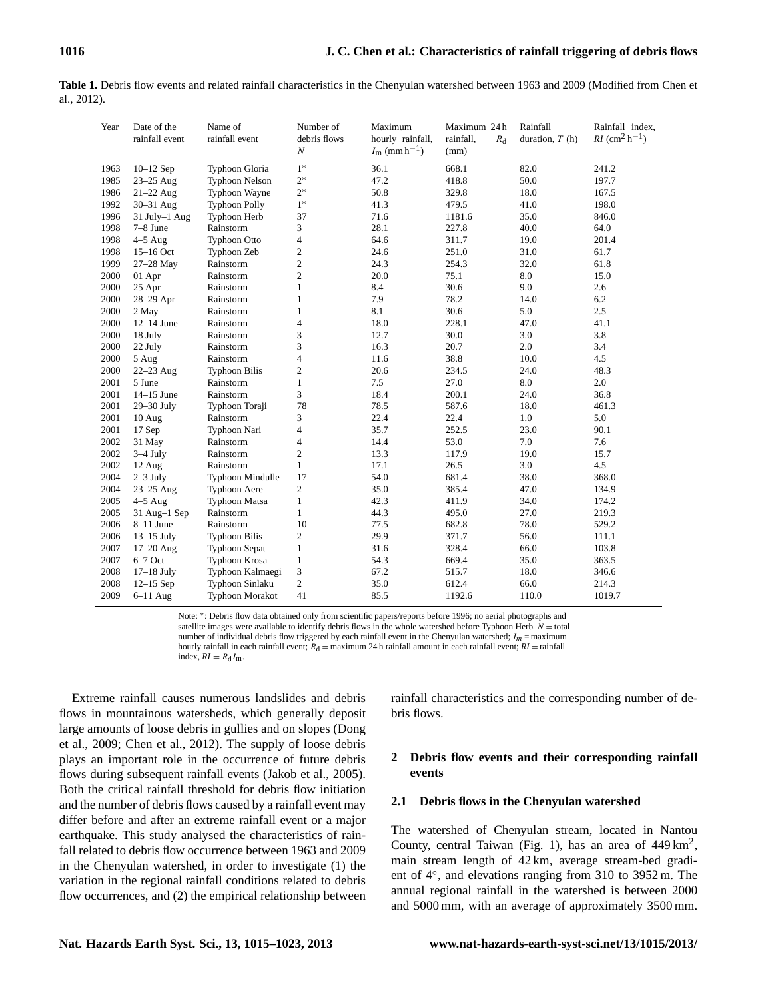| Year | Date of the<br>rainfall event | Name of<br>rainfall event | Number of<br>debris flows<br>$\cal N$ | Maximum<br>hourly rainfall,<br>$I_{\rm m}$ (mm h <sup>-1</sup> ) | Maximum 24h<br>rainfall,<br>$R_{\rm d}$<br>(mm) | Rainfall<br>duration, $T(h)$ | Rainfall index,<br><i>RI</i> (cm <sup>2</sup> h <sup>-1</sup> ) |
|------|-------------------------------|---------------------------|---------------------------------------|------------------------------------------------------------------|-------------------------------------------------|------------------------------|-----------------------------------------------------------------|
| 1963 | $10-12$ Sep                   | Typhoon Gloria            | $1*$                                  | 36.1                                                             | 668.1                                           | 82.0                         | 241.2                                                           |
| 1985 | $23-25$ Aug                   | <b>Typhoon Nelson</b>     | $2*$                                  | 47.2                                                             | 418.8                                           | 50.0                         | 197.7                                                           |
| 1986 | $21-22$ Aug                   | Typhoon Wayne             | $2*$                                  | 50.8                                                             | 329.8                                           | 18.0                         | 167.5                                                           |
| 1992 | 30-31 Aug                     | <b>Typhoon Polly</b>      | $1*$                                  | 41.3                                                             | 479.5                                           | 41.0                         | 198.0                                                           |
| 1996 | 31 July-1 Aug                 | Typhoon Herb              | 37                                    | 71.6                                                             | 1181.6                                          | 35.0                         | 846.0                                                           |
| 1998 | 7-8 June                      | Rainstorm                 | 3                                     | 28.1                                                             | 227.8                                           | 40.0                         | 64.0                                                            |
| 1998 | $4-5$ Aug                     | <b>Typhoon Otto</b>       | 4                                     | 64.6                                                             | 311.7                                           | 19.0                         | 201.4                                                           |
| 1998 | $15-16$ Oct                   | Typhoon Zeb               | 2                                     | 24.6                                                             | 251.0                                           | 31.0                         | 61.7                                                            |
| 1999 | 27-28 May                     | Rainstorm                 | $\overline{c}$                        | 24.3                                                             | 254.3                                           | 32.0                         | 61.8                                                            |
| 2000 | 01 Apr                        | Rainstorm                 | $\overline{c}$                        | 20.0                                                             | 75.1                                            | 8.0                          | 15.0                                                            |
| 2000 | 25 Apr                        | Rainstorm                 | $\mathbf{1}$                          | 8.4                                                              | 30.6                                            | 9.0                          | 2.6                                                             |
| 2000 | 28-29 Apr                     | Rainstorm                 | $\mathbf{1}$                          | 7.9                                                              | 78.2                                            | 14.0                         | 6.2                                                             |
| 2000 | 2 May                         | Rainstorm                 | $\mathbf{1}$                          | 8.1                                                              | 30.6                                            | 5.0                          | 2.5                                                             |
| 2000 | $12-14$ June                  | Rainstorm                 | $\overline{4}$                        | 18.0                                                             | 228.1                                           | 47.0                         | 41.1                                                            |
| 2000 | 18 July                       | Rainstorm                 | 3                                     | 12.7                                                             | 30.0                                            | 3.0                          | 3.8                                                             |
| 2000 | 22 July                       | Rainstorm                 | 3                                     | 16.3                                                             | 20.7                                            | 2.0                          | 3.4                                                             |
| 2000 | 5 Aug                         | Rainstorm                 | 4                                     | 11.6                                                             | 38.8                                            | 10.0                         | 4.5                                                             |
| 2000 | $22-23$ Aug                   | <b>Typhoon Bilis</b>      | 2                                     | 20.6                                                             | 234.5                                           | 24.0                         | 48.3                                                            |
| 2001 | 5 June                        | Rainstorm                 | $\mathbf{1}$                          | 7.5                                                              | 27.0                                            | 8.0                          | 2.0                                                             |
| 2001 | $14-15$ June                  | Rainstorm                 | 3                                     | 18.4                                                             | 200.1                                           | 24.0                         | 36.8                                                            |
| 2001 | 29-30 July                    | Typhoon Toraji            | 78                                    | 78.5                                                             | 587.6                                           | 18.0                         | 461.3                                                           |
| 2001 | 10 Aug                        | Rainstorm                 | 3                                     | 22.4                                                             | 22.4                                            | 1.0                          | 5.0                                                             |
| 2001 | 17 Sep                        | Typhoon Nari              | $\overline{4}$                        | 35.7                                                             | 252.5                                           | 23.0                         | 90.1                                                            |
| 2002 | 31 May                        | Rainstorm                 | 4                                     | 14.4                                                             | 53.0                                            | 7.0                          | 7.6                                                             |
| 2002 | $3-4$ July                    | Rainstorm                 | $\overline{c}$                        | 13.3                                                             | 117.9                                           | 19.0                         | 15.7                                                            |
| 2002 | 12 Aug                        | Rainstorm                 | $\mathbf{1}$                          | 17.1                                                             | 26.5                                            | 3.0                          | 4.5                                                             |
| 2004 | $2-3$ July                    | Typhoon Mindulle          | 17                                    | 54.0                                                             | 681.4                                           | 38.0                         | 368.0                                                           |
| 2004 | 23-25 Aug                     | <b>Typhoon Aere</b>       | $\overline{c}$                        | 35.0                                                             | 385.4                                           | 47.0                         | 134.9                                                           |
| 2005 | $4-5$ Aug                     | <b>Typhoon Matsa</b>      | 1                                     | 42.3                                                             | 411.9                                           | 34.0                         | 174.2                                                           |
| 2005 | 31 Aug-1 Sep                  | Rainstorm                 | $\mathbf{1}$                          | 44.3                                                             | 495.0                                           | 27.0                         | 219.3                                                           |
| 2006 | $8-11$ June                   | Rainstorm                 | 10                                    | 77.5                                                             | 682.8                                           | 78.0                         | 529.2                                                           |
| 2006 | $13-15$ July                  | <b>Typhoon Bilis</b>      | $\overline{c}$                        | 29.9                                                             | 371.7                                           | 56.0                         | 111.1                                                           |
| 2007 | $17 - 20$ Aug                 | <b>Typhoon Sepat</b>      | 1                                     | 31.6                                                             | 328.4                                           | 66.0                         | 103.8                                                           |
| 2007 | $6-7$ Oct                     | Typhoon Krosa             | $\mathbf{1}$                          | 54.3                                                             | 669.4                                           | 35.0                         | 363.5                                                           |
| 2008 | $17-18$ July                  | Typhoon Kalmaegi          | 3                                     | 67.2                                                             | 515.7                                           | 18.0                         | 346.6                                                           |
| 2008 | $12-15$ Sep                   | Typhoon Sinlaku           | $\overline{c}$                        | 35.0                                                             | 612.4                                           | 66.0                         | 214.3                                                           |
| 2009 | $6-11$ Aug                    | Typhoon Morakot           | 41                                    | 85.5                                                             | 1192.6                                          | 110.0                        | 1019.7                                                          |

Table 1. Debris flow events and related rainfall characteristics in the Chenyulan watershed between 1963 and 2009 (Modified from Chen et al., 2012).

Note: \*: Debris flow data obtained only from scientific papers/reports before 1996; no aerial photographs and satellite images were available to identify debris flows in the whole watershed before Typhoon Herb.  $N =$ total number of individual debris flow triggered by each rainfall event in the Chenyulan watershed;  $I_m$  = maximum hourly rainfall in each rainfall event;  $R_d$  = maximum 24 h rainfall amount in each rainfall event;  $RI$  = rainfall index,  $RI = R_d I_m$ .

Extreme rainfall causes numerous landslides and debris flows in mountainous watersheds, which generally deposit large amounts of loose debris in gullies and on slopes (Dong et al., 2009; Chen et al., 2012). The supply of loose debris plays an important role in the occurrence of future debris flows during subsequent rainfall events (Jakob et al., 2005). Both the critical rainfall threshold for debris flow initiation and the number of debris flows caused by a rainfall event may differ before and after an extreme rainfall event or a major earthquake. This study analysed the characteristics of rainfall related to debris flow occurrence between 1963 and 2009 in the Chenyulan watershed, in order to investigate (1) the variation in the regional rainfall conditions related to debris flow occurrences, and (2) the empirical relationship between rainfall characteristics and the corresponding number of debris flows.

# **2 Debris flow events and their corresponding rainfall events**

## **2.1 Debris flows in the Chenyulan watershed**

The watershed of Chenyulan stream, located in Nantou County, central Taiwan (Fig. 1), has an area of  $449 \text{ km}^2$ , main stream length of 42 km, average stream-bed gradient of 4◦ , and elevations ranging from 310 to 3952 m. The annual regional rainfall in the watershed is between 2000 and 5000 mm, with an average of approximately 3500 mm.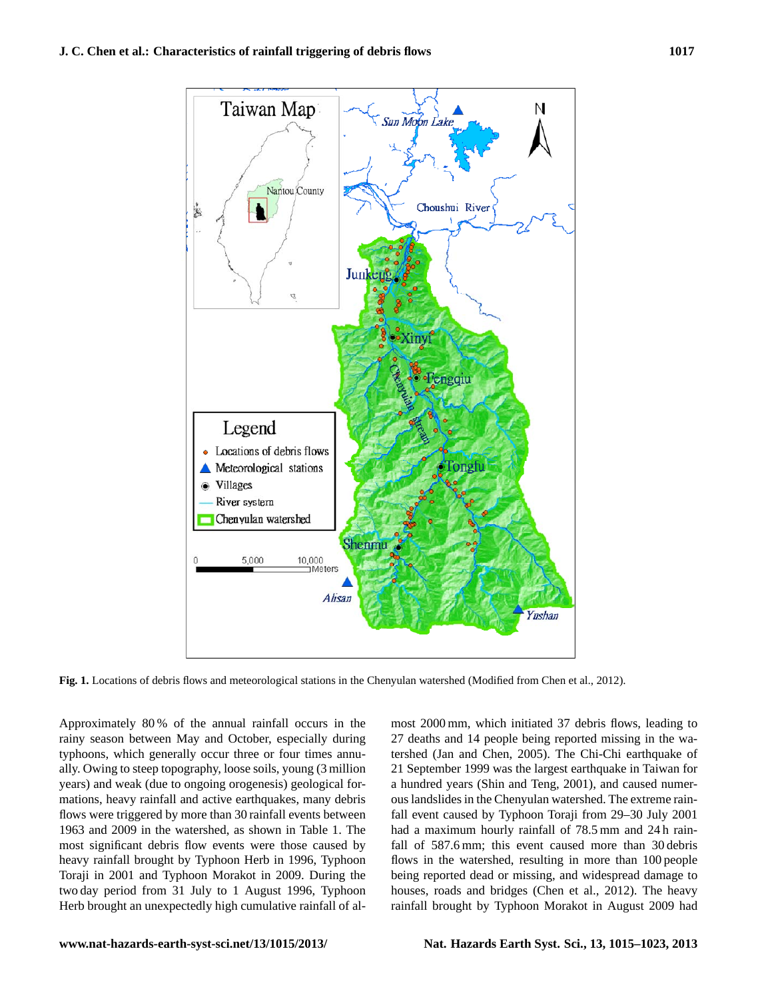

Fig. 1. Locations of debris flows and meteorological stations in the Chenyulan watershed (Modified from Chen et al., 2012).

Approximately 80% of the annual rainfall occurs in the typhoons, which generally occur three or four times annurainy season between May and October, especially during ally. Owing to steep topography, loose soils, young (3 million years) and weak (due to ongoing orogenesis) geological formations, heavy rainfall and active earthquakes, many debris flows were triggered by more than 30 rainfall events between 1963 and 2009 in the watershed, as shown in Table 1. The most significant debris flow events were those caused by heavy rainfall brought by Typhoon Herb in 1996, Typhoon Toraji in 2001 and Typhoon Morakot in 2009. During the two day period from 31 July to 1 August 1996, Typhoon Herb brought an unexpectedly high cumulative rainfall of al-

houses, roads and bridges (Chen et al., 2012). The heavy most 2000 mm, which initiated 37 debris flows, leading to 27 deaths and 14 people being reported missing in the watershed (Jan and Chen, 2005). The Chi-Chi earthquake of 21 September 1999 was the largest earthquake in Taiwan for a hundred years (Shin and Teng, 2001), and caused numerous landslides in the Chenyulan watershed. The extreme rainfall event caused by Typhoon Toraji from 29–30 July 2001 had a maximum hourly rainfall of 78.5 mm and 24 h rainfall of 587.6 mm; this event caused more than 30 debris flows in the watershed, resulting in more than 100 people being reported dead or missing, and widespread damage to rainfall brought by Typhoon Morakot in August 2009 had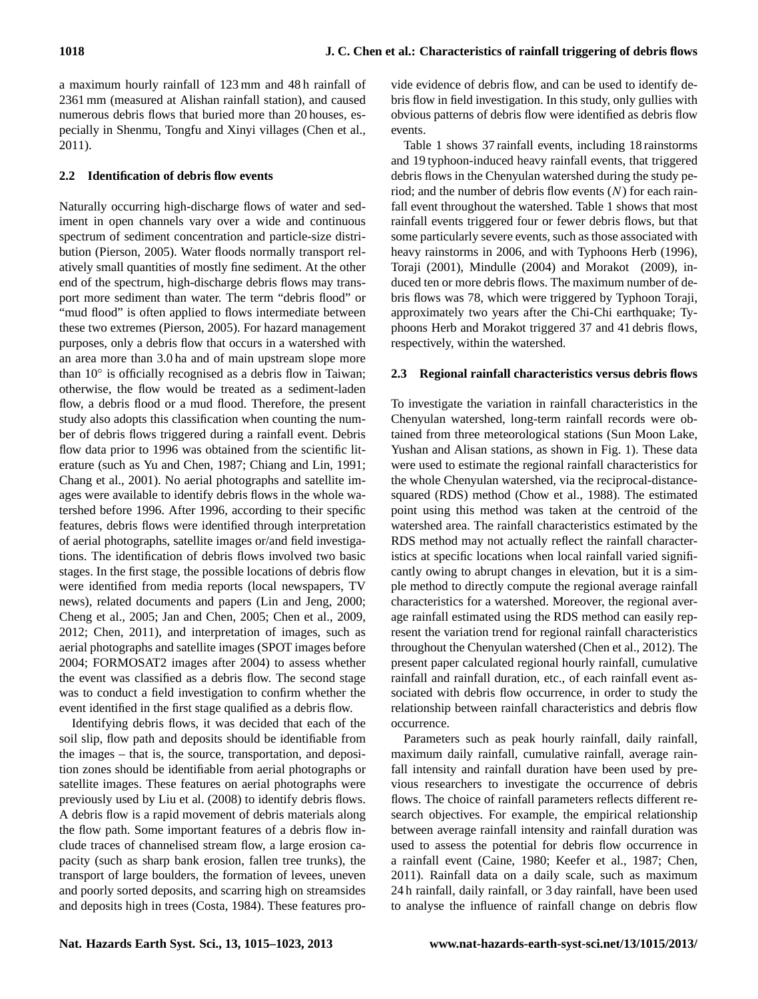a maximum hourly rainfall of 123 mm and 48 h rainfall of 2361 mm (measured at Alishan rainfall station), and caused numerous debris flows that buried more than 20 houses, especially in Shenmu, Tongfu and Xinyi villages (Chen et al., 2011).

# **2.2 Identification of debris flow events**

Naturally occurring high-discharge flows of water and sediment in open channels vary over a wide and continuous spectrum of sediment concentration and particle-size distribution (Pierson, 2005). Water floods normally transport relatively small quantities of mostly fine sediment. At the other end of the spectrum, high-discharge debris flows may transport more sediment than water. The term "debris flood" or "mud flood" is often applied to flows intermediate between these two extremes (Pierson, 2005). For hazard management purposes, only a debris flow that occurs in a watershed with an area more than 3.0 ha and of main upstream slope more than 10° is officially recognised as a debris flow in Taiwan; otherwise, the flow would be treated as a sediment-laden flow, a debris flood or a mud flood. Therefore, the present study also adopts this classification when counting the number of debris flows triggered during a rainfall event. Debris flow data prior to 1996 was obtained from the scientific literature (such as Yu and Chen, 1987; Chiang and Lin, 1991; Chang et al., 2001). No aerial photographs and satellite images were available to identify debris flows in the whole watershed before 1996. After 1996, according to their specific features, debris flows were identified through interpretation of aerial photographs, satellite images or/and field investigations. The identification of debris flows involved two basic stages. In the first stage, the possible locations of debris flow were identified from media reports (local newspapers, TV news), related documents and papers (Lin and Jeng, 2000; Cheng et al., 2005; Jan and Chen, 2005; Chen et al., 2009, 2012; Chen, 2011), and interpretation of images, such as aerial photographs and satellite images (SPOT images before 2004; FORMOSAT2 images after 2004) to assess whether the event was classified as a debris flow. The second stage was to conduct a field investigation to confirm whether the event identified in the first stage qualified as a debris flow.

Identifying debris flows, it was decided that each of the soil slip, flow path and deposits should be identifiable from the images – that is, the source, transportation, and deposition zones should be identifiable from aerial photographs or satellite images. These features on aerial photographs were previously used by Liu et al. (2008) to identify debris flows. A debris flow is a rapid movement of debris materials along the flow path. Some important features of a debris flow include traces of channelised stream flow, a large erosion capacity (such as sharp bank erosion, fallen tree trunks), the transport of large boulders, the formation of levees, uneven and poorly sorted deposits, and scarring high on streamsides and deposits high in trees (Costa, 1984). These features pro-

vide evidence of debris flow, and can be used to identify debris flow in field investigation. In this study, only gullies with obvious patterns of debris flow were identified as debris flow events.

Table 1 shows 37 rainfall events, including 18 rainstorms and 19 typhoon-induced heavy rainfall events, that triggered debris flows in the Chenyulan watershed during the study period; and the number of debris flow events  $(N)$  for each rainfall event throughout the watershed. Table 1 shows that most rainfall events triggered four or fewer debris flows, but that some particularly severe events, such as those associated with heavy rainstorms in 2006, and with Typhoons Herb (1996), Toraji (2001), Mindulle (2004) and Morakot (2009), induced ten or more debris flows. The maximum number of debris flows was 78, which were triggered by Typhoon Toraji, approximately two years after the Chi-Chi earthquake; Typhoons Herb and Morakot triggered 37 and 41 debris flows, respectively, within the watershed.

# **2.3 Regional rainfall characteristics versus debris flows**

To investigate the variation in rainfall characteristics in the Chenyulan watershed, long-term rainfall records were obtained from three meteorological stations (Sun Moon Lake, Yushan and Alisan stations, as shown in Fig. 1). These data were used to estimate the regional rainfall characteristics for the whole Chenyulan watershed, via the reciprocal-distancesquared (RDS) method (Chow et al., 1988). The estimated point using this method was taken at the centroid of the watershed area. The rainfall characteristics estimated by the RDS method may not actually reflect the rainfall characteristics at specific locations when local rainfall varied significantly owing to abrupt changes in elevation, but it is a simple method to directly compute the regional average rainfall characteristics for a watershed. Moreover, the regional average rainfall estimated using the RDS method can easily represent the variation trend for regional rainfall characteristics throughout the Chenyulan watershed (Chen et al., 2012). The present paper calculated regional hourly rainfall, cumulative rainfall and rainfall duration, etc., of each rainfall event associated with debris flow occurrence, in order to study the relationship between rainfall characteristics and debris flow occurrence.

Parameters such as peak hourly rainfall, daily rainfall, maximum daily rainfall, cumulative rainfall, average rainfall intensity and rainfall duration have been used by previous researchers to investigate the occurrence of debris flows. The choice of rainfall parameters reflects different research objectives. For example, the empirical relationship between average rainfall intensity and rainfall duration was used to assess the potential for debris flow occurrence in a rainfall event (Caine, 1980; Keefer et al., 1987; Chen, 2011). Rainfall data on a daily scale, such as maximum 24 h rainfall, daily rainfall, or 3 day rainfall, have been used to analyse the influence of rainfall change on debris flow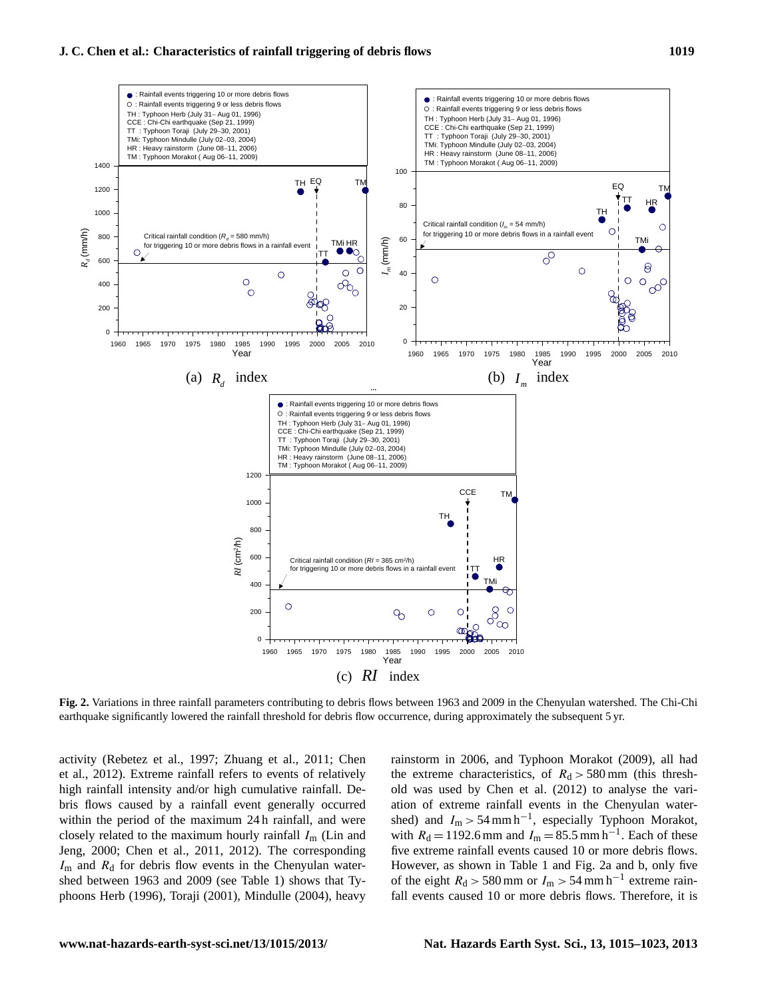

rig. 2. Variations in three rainial parameters contributing to debris hows between 1965 and 2009 in the Chenyulan watershed. The Chi-Chi<br>earthquake significantly lowered the rainfall threshold for debris flow occurrence, d 8 and 2009 in the Chenyulan watershed. The Chi-Chi earthquake significantly lowered the

400 TMi phoons Herb (1996), Toraji (2001), Mindulle (2004), heavy  $I<sub>m</sub>$  and  $R<sub>d</sub>$  for debris flow events in the Chenyulan waterclosely related to the maximum hourly rainfall  $I<sub>m</sub>$  (Lin and bris flows caused by a rainfall event generally occurred et al., 2012). Extreme rainfall refers to events of relatively Jeng, 2000; Chen et al., 2011, 2012). The corresponding  $I_{\rm m}$  and  $R_{\rm d}$  for debris flow events in the Chenyulan watershed between 1963 and 2009 (see Table 1) shows that Tvshed between 1963 and 2009 (see Table 1) shows that Tyactivity (Rebetez et al., 1997; Zhuang et al., 2011; Chen within the period of the maximum 24 h rainfall, and were high rainfall intensity and/or high cumulative rainfall. De-

t al., 1997; Zhuang et al., 2011; Chen rainstorm in 2006, and Typhoon Morakot (2009), all had with  $R_d = 1192.6$  mm and  $I_m = 85.5$  mm h<sup>-1</sup>. Each of these the extreme characteristics, of  $R_d > 580$  mm (this threshold was used by Chen et al. (2012) to analyse the variation of extreme rainfall events in the Chenyulan watershed) and  $I_m > 54$  mm h<sup>-1</sup>, especially Typhoon Morakot, five extreme rainfall events caused 10 or more debris flows. However, as shown in Table 1 and Fig. 2a and b, only five of the eight  $R_d > 580$  mm or  $I_m > 54$  mm h<sup>-1</sup> extreme rainfall events caused 10 or more debris flows. Therefore, it is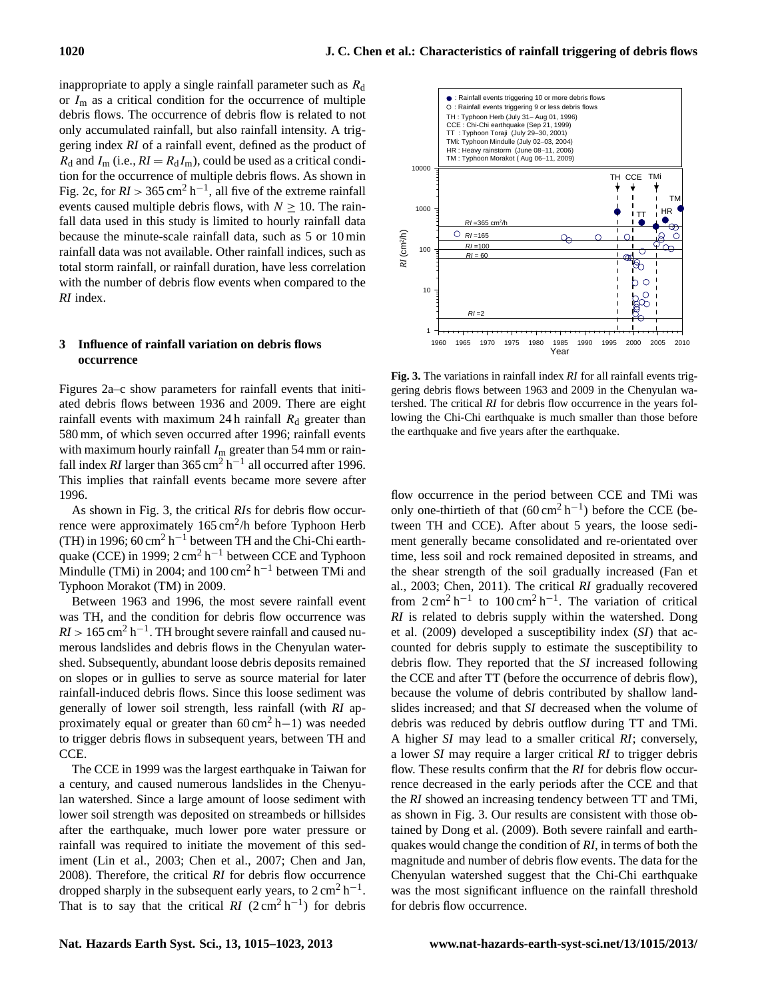inappropriate to apply a single rainfall parameter such as  $R_d$ or  $I_m$  as a critical condition for the occurrence of multiple debris flows. The occurrence of debris flow is related to not only accumulated rainfall, but also rainfall intensity. A triggering index *RI* of a rainfall event, defined as the product of  $R_d$  and  $I_m$  (i.e.,  $RI = R_d I_m$ ), could be used as a critical condition for the occurrence of multiple debris flows. As shown in Fig. 2c, for  $RI > 365 \text{ cm}^2 \text{ h}^{-1}$ , all five of the extreme rainfall events caused multiple debris flows, with  $N \ge 10$ . The rainfall data used in this study is limited to hourly rainfall data because the minute-scale rainfall data, such as 5 or 10 min rainfall data was not available. Other rainfall indices, such as total storm rainfall, or rainfall duration, have less correlation with the number of debris flow events when compared to the *RI* index.

## **3 Influence of rainfall variation on debris flows occurrence**

Figures 2a–c show parameters for rainfall events that initiated debris flows between 1936 and 2009. There are eight rainfall events with maximum 24 h rainfall  $R_d$  greater than 580 mm, of which seven occurred after 1996; rainfall events with maximum hourly rainfall  $I<sub>m</sub>$  greater than 54 mm or rainfall index *RI* larger than  $365 \text{ cm}^2 \text{ h}^{-1}$  all occurred after 1996. This implies that rainfall events became more severe after 1996.

As shown in Fig. 3, the critical *RI*s for debris flow occurrence were approximately  $165 \text{ cm}^2/h$  before Typhoon Herb (TH) in 1996; 60 cm<sup>2</sup> h<sup>-1</sup> between TH and the Chi-Chi earthquake (CCE) in 1999;  $2 \text{ cm}^2 \text{ h}^{-1}$  between CCE and Typhoon Mindulle (TMi) in 2004; and  $100 \text{ cm}^2 \text{ h}^{-1}$  between TMi and Typhoon Morakot (TM) in 2009.

Between 1963 and 1996, the most severe rainfall event was TH, and the condition for debris flow occurrence was  $RI > 165$  cm<sup>2</sup> h<sup>-1</sup>. TH brought severe rainfall and caused numerous landslides and debris flows in the Chenyulan watershed. Subsequently, abundant loose debris deposits remained on slopes or in gullies to serve as source material for later rainfall-induced debris flows. Since this loose sediment was generally of lower soil strength, less rainfall (with *RI* approximately equal or greater than  $60 \text{ cm}^2$  h−1) was needed to trigger debris flows in subsequent years, between TH and CCE.

The CCE in 1999 was the largest earthquake in Taiwan for a century, and caused numerous landslides in the Chenyulan watershed. Since a large amount of loose sediment with lower soil strength was deposited on streambeds or hillsides after the earthquake, much lower pore water pressure or rainfall was required to initiate the movement of this sediment (Lin et al., 2003; Chen et al., 2007; Chen and Jan, 2008). Therefore, the critical *RI* for debris flow occurrence dropped sharply in the subsequent early years, to  $2 \text{ cm}^2 \text{ h}^{-1}$ . That is to say that the critical  $\overline{RI}$  (2 cm<sup>2</sup> h<sup>-1</sup>) for debris



**Fig. 3.** The variations in rainfall index *RI* for all rainfall events trigat initi- gering debris flows between 1963 and 2009 in the Chenyulan wa- $\epsilon$  eight tershed. The critical *RI* for debris flow occurrence in the years following the Chi-Chi earthquake is much smaller than those before the earthquake and five years after the earthquake.

flow occurrence in the period between CCE and TMi was only one-thirtieth of that  $(60 \text{ cm}^2 \text{ h}^{-1})$  before the CCE (between TH and CCE). After about 5 years, the loose sediment generally became consolidated and re-orientated over time, less soil and rock remained deposited in streams, and the shear strength of the soil gradually increased (Fan et al., 2003; Chen, 2011). The critical *RI* gradually recovered from  $2 \text{ cm}^2 \text{ h}^{-1}$  to  $100 \text{ cm}^2 \text{ h}^{-1}$ . The variation of critical *RI* is related to debris supply within the watershed. Dong et al. (2009) developed a susceptibility index (*SI*) that accounted for debris supply to estimate the susceptibility to debris flow. They reported that the *SI* increased following the CCE and after TT (before the occurrence of debris flow), because the volume of debris contributed by shallow landslides increased; and that *SI* decreased when the volume of debris was reduced by debris outflow during TT and TMi. A higher *SI* may lead to a smaller critical *RI*; conversely, a lower *SI* may require a larger critical *RI* to trigger debris flow. These results confirm that the *RI* for debris flow occurrence decreased in the early periods after the CCE and that the *RI* showed an increasing tendency between TT and TMi, as shown in Fig. 3. Our results are consistent with those obtained by Dong et al. (2009). Both severe rainfall and earthquakes would change the condition of *RI*, in terms of both the magnitude and number of debris flow events. The data for the Chenyulan watershed suggest that the Chi-Chi earthquake was the most significant influence on the rainfall threshold for debris flow occurrence.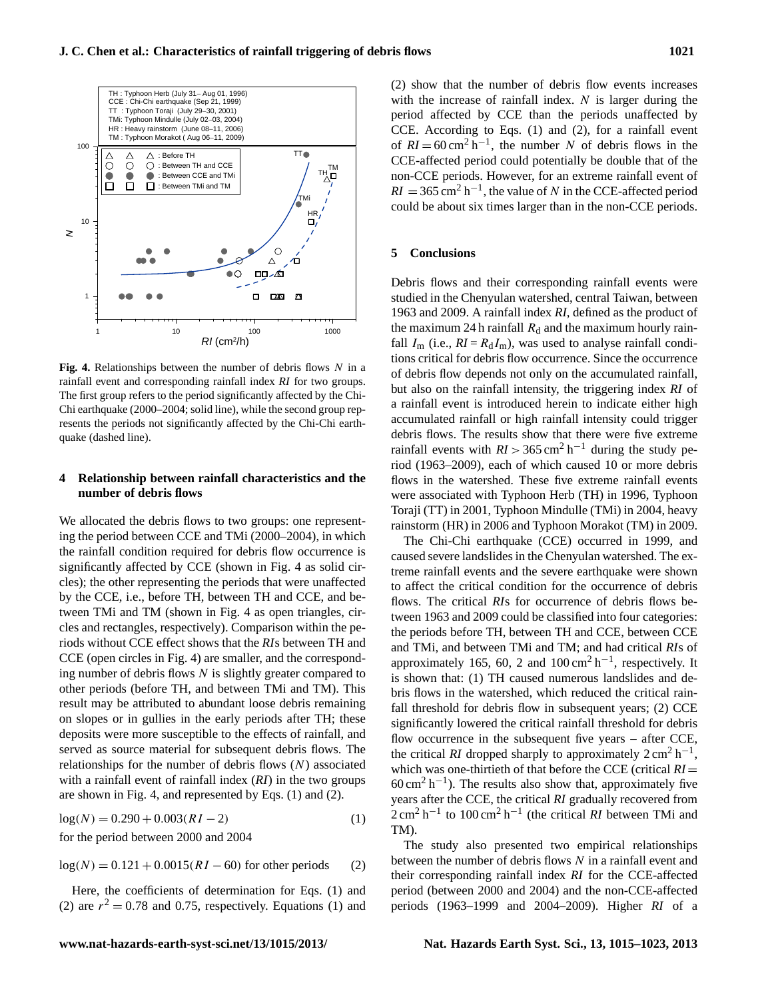**J. C. Chen et al.: Characteristics of rainfall triggering of debris flows 1021**



Fig. 4. Relationships between the number of debris flows N in a  $\frac{1}{2}$  significant and corresponding rejudial index  $\overline{R}$  for two seconds rainfall event and corresponding rainfall index *RI* for two groups. The first group refers to the period significantly affected by the Chi-Chi earthquake (2000–2004; solid line), while the second group represents the periods not significantly affected by the Chi-Chi earthquake (dashed line).

*RI* (cm2/h)

#### **4 Relationship between rainfall characteristics and the number of debris flows**

We allocated the debris flows to two groups: one representing the period between CCE and TMi (2000–2004), in which the rainfall condition required for debris flow occurrence is significantly affected by CCE (shown in Fig. 4 as solid circles); the other representing the periods that were unaffected by the CCE, i.e., before TH, between TH and CCE, and between TMi and TM (shown in Fig. 4 as open triangles, circles and rectangles, respectively). Comparison within the periods without CCE effect shows that the *RI*s between TH and CCE (open circles in Fig. 4) are smaller, and the corresponding number of debris flows  $N$  is slightly greater compared to other periods (before TH, and between TMi and TM). This result may be attributed to abundant loose debris remaining on slopes or in gullies in the early periods after TH; these deposits were more susceptible to the effects of rainfall, and served as source material for subsequent debris flows. The relationships for the number of debris flows  $(N)$  associated with a rainfall event of rainfall index (*RI*) in the two groups are shown in Fig. 4, and represented by Eqs. (1) and (2).

$$
log(N) = 0.290 + 0.003(RI - 2)
$$
 (1)

for the period between 2000 and 2004

 $log(N) = 0.121 + 0.0015(RI - 60)$  for other periods (2)

Here, the coefficients of determination for Eqs. (1) and (2) are  $r^2 = 0.78$  and 0.75, respectively. Equations (1) and

(2) show that the number of debris flow events increases with the increase of rainfall index.  $N$  is larger during the period affected by CCE than the periods unaffected by CCE. According to Eqs. (1) and (2), for a rainfall event of  $RI = 60 \text{ cm}^2 \text{ h}^{-1}$ , the number N of debris flows in the CCE-affected period could potentially be double that of the non-CCE periods. However, for an extreme rainfall event of  $RI = 365 \text{ cm}^2 \text{ h}^{-1}$ , the value of N in the CCE-affected period could be about six times larger than in the non-CCE periods.

### **5 Conclusions**

2 Figure 4: Relationships between the number of debris flows *N* in a rainfall event and Debris flows and their corresponding rainfall events were studied in the Chenyulan watershed, central Taiwan, between 1963 and 2009. A rainfall index *RI*, defined as the product of the maximum 24 h rainfall  $R_d$  and the maximum hourly rainfall  $I_m$  (i.e.,  $RI = R_dI_m$ ), was used to analyse rainfall conditions critical for debris flow occurrence. Since the occurrence of debris flow depends not only on the accumulated rainfall, but also on the rainfall intensity, the triggering index *RI* of a rainfall event is introduced herein to indicate either high accumulated rainfall or high rainfall intensity could trigger debris flows. The results show that there were five extreme rainfall events with  $RI > 365$  cm<sup>2</sup> h<sup>-1</sup> during the study period (1963–2009), each of which caused 10 or more debris flows in the watershed. These five extreme rainfall events were associated with Typhoon Herb (TH) in 1996, Typhoon Toraji (TT) in 2001, Typhoon Mindulle (TMi) in 2004, heavy rainstorm (HR) in 2006 and Typhoon Morakot (TM) in 2009.

> is shown that: (1) TH caused numerous landslides and de-The Chi-Chi earthquake (CCE) occurred in 1999, and caused severe landslides in the Chenyulan watershed. The extreme rainfall events and the severe earthquake were shown to affect the critical condition for the occurrence of debris flows. The critical *RI*s for occurrence of debris flows between 1963 and 2009 could be classified into four categories: the periods before TH, between TH and CCE, between CCE and TMi, and between TMi and TM; and had critical *RI*s of approximately 165, 60, 2 and  $100 \text{ cm}^2 \text{ h}^{-1}$ , respectively. It bris flows in the watershed, which reduced the critical rainfall threshold for debris flow in subsequent years; (2) CCE significantly lowered the critical rainfall threshold for debris flow occurrence in the subsequent five years – after CCE, the critical *RI* dropped sharply to approximately  $2 \text{ cm}^2 \text{ h}^{-1}$ , which was one-thirtieth of that before the CCE (critical  $RI =$  $60 \text{ cm}^2 \text{ h}^{-1}$ ). The results also show that, approximately five years after the CCE, the critical *RI* gradually recovered from  $2 \text{ cm}^2 \text{ h}^{-1}$  to  $100 \text{ cm}^2 \text{ h}^{-1}$  (the critical *RI* between TMi and TM).

The study also presented two empirical relationships between the number of debris flows  $N$  in a rainfall event and their corresponding rainfall index *RI* for the CCE-affected period (between 2000 and 2004) and the non-CCE-affected periods (1963–1999 and 2004–2009). Higher *RI* of a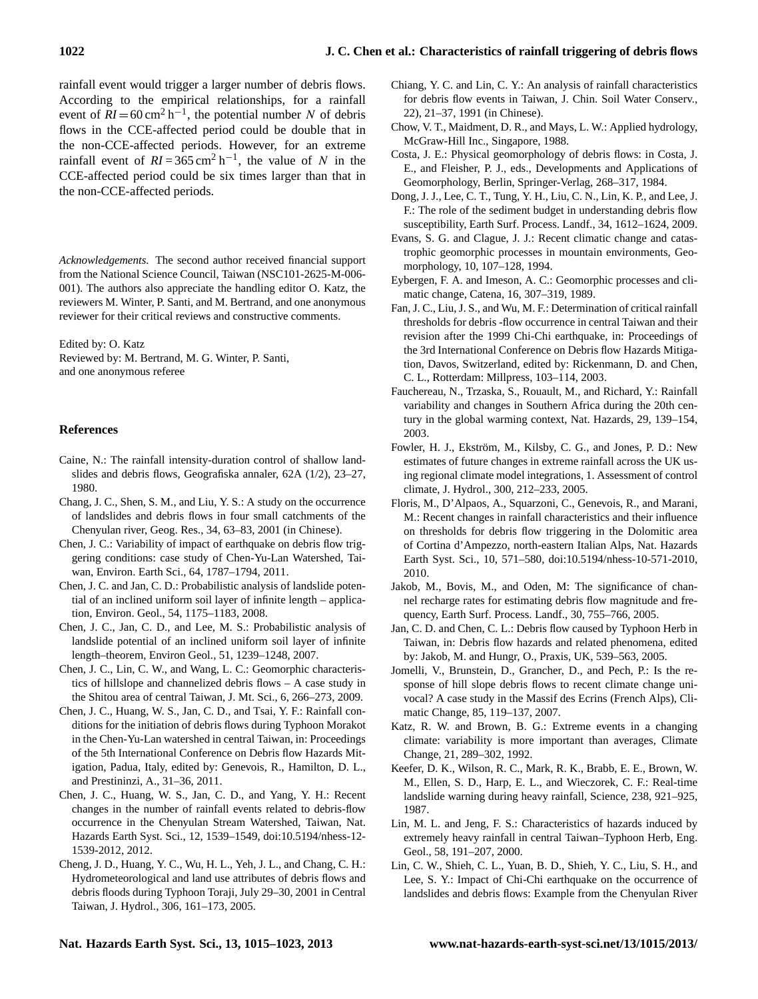rainfall event would trigger a larger number of debris flows. According to the empirical relationships, for a rainfall event of  $RI = 60 \text{ cm}^2 \text{ h}^{-1}$ , the potential number N of debris flows in the CCE-affected period could be double that in the non-CCE-affected periods. However, for an extreme rainfall event of  $RI = 365 \text{ cm}^2 \text{ h}^{-1}$ , the value of N in the CCE-affected period could be six times larger than that in the non-CCE-affected periods.

*Acknowledgements.* The second author received financial support from the National Science Council, Taiwan (NSC101-2625-M-006- 001). The authors also appreciate the handling editor O. Katz, the reviewers M. Winter, P. Santi, and M. Bertrand, and one anonymous reviewer for their critical reviews and constructive comments.

Edited by: O. Katz

Reviewed by: M. Bertrand, M. G. Winter, P. Santi, and one anonymous referee

### **References**

- Caine, N.: The rainfall intensity-duration control of shallow landslides and debris flows, Geografiska annaler, 62A (1/2), 23–27, 1980.
- Chang, J. C., Shen, S. M., and Liu, Y. S.: A study on the occurrence of landslides and debris flows in four small catchments of the Chenyulan river, Geog. Res., 34, 63–83, 2001 (in Chinese).
- Chen, J. C.: Variability of impact of earthquake on debris flow triggering conditions: case study of Chen-Yu-Lan Watershed, Taiwan, Environ. Earth Sci., 64, 1787–1794, 2011.
- Chen, J. C. and Jan, C. D.: Probabilistic analysis of landslide potential of an inclined uniform soil layer of infinite length – application, Environ. Geol., 54, 1175–1183, 2008.
- Chen, J. C., Jan, C. D., and Lee, M. S.: Probabilistic analysis of landslide potential of an inclined uniform soil layer of infinite length–theorem, Environ Geol., 51, 1239–1248, 2007.
- Chen, J. C., Lin, C. W., and Wang, L. C.: Geomorphic characteristics of hillslope and channelized debris flows – A case study in the Shitou area of central Taiwan, J. Mt. Sci., 6, 266–273, 2009.
- Chen, J. C., Huang, W. S., Jan, C. D., and Tsai, Y. F.: Rainfall conditions for the initiation of debris flows during Typhoon Morakot in the Chen-Yu-Lan watershed in central Taiwan, in: Proceedings of the 5th International Conference on Debris flow Hazards Mitigation, Padua, Italy, edited by: Genevois, R., Hamilton, D. L., and Prestininzi, A., 31–36, 2011.
- Chen, J. C., Huang, W. S., Jan, C. D., and Yang, Y. H.: Recent changes in the number of rainfall events related to debris-flow occurrence in the Chenyulan Stream Watershed, Taiwan, Nat. Hazards Earth Syst. Sci., 12, 1539–1549, [doi:10.5194/nhess-12-](http://dx.doi.org/10.5194/nhess-12-1539-2012) [1539-2012,](http://dx.doi.org/10.5194/nhess-12-1539-2012) 2012.
- Cheng, J. D., Huang, Y. C., Wu, H. L., Yeh, J. L., and Chang, C. H.: Hydrometeorological and land use attributes of debris flows and debris floods during Typhoon Toraji, July 29–30, 2001 in Central Taiwan, J. Hydrol., 306, 161–173, 2005.
- Chiang, Y. C. and Lin, C. Y.: An analysis of rainfall characteristics for debris flow events in Taiwan, J. Chin. Soil Water Conserv., 22), 21–37, 1991 (in Chinese).
- Chow, V. T., Maidment, D. R., and Mays, L. W.: Applied hydrology, McGraw-Hill Inc., Singapore, 1988.
- Costa, J. E.: Physical geomorphology of debris flows: in Costa, J. E., and Fleisher, P. J., eds., Developments and Applications of Geomorphology, Berlin, Springer-Verlag, 268–317, 1984.
- Dong, J. J., Lee, C. T., Tung, Y. H., Liu, C. N., Lin, K. P., and Lee, J. F.: The role of the sediment budget in understanding debris flow susceptibility, Earth Surf. Process. Landf., 34, 1612–1624, 2009.
- Evans, S. G. and Clague, J. J.: Recent climatic change and catastrophic geomorphic processes in mountain environments, Geomorphology, 10, 107–128, 1994.
- Eybergen, F. A. and Imeson, A. C.: Geomorphic processes and climatic change, Catena, 16, 307–319, 1989.
- Fan, J. C., Liu, J. S., and Wu, M. F.: Determination of critical rainfall thresholds for debris -flow occurrence in central Taiwan and their revision after the 1999 Chi-Chi earthquake, in: Proceedings of the 3rd International Conference on Debris flow Hazards Mitigation, Davos, Switzerland, edited by: Rickenmann, D. and Chen, C. L., Rotterdam: Millpress, 103–114, 2003.
- Fauchereau, N., Trzaska, S., Rouault, M., and Richard, Y.: Rainfall variability and changes in Southern Africa during the 20th century in the global warming context, Nat. Hazards, 29, 139–154, 2003.
- Fowler, H. J., Ekström, M., Kilsby, C. G., and Jones, P. D.: New estimates of future changes in extreme rainfall across the UK using regional climate model integrations, 1. Assessment of control climate, J. Hydrol., 300, 212–233, 2005.
- Floris, M., D'Alpaos, A., Squarzoni, C., Genevois, R., and Marani, M.: Recent changes in rainfall characteristics and their influence on thresholds for debris flow triggering in the Dolomitic area of Cortina d'Ampezzo, north-eastern Italian Alps, Nat. Hazards Earth Syst. Sci., 10, 571–580, [doi:10.5194/nhess-10-571-2010,](http://dx.doi.org/10.5194/nhess-10-571-2010) 2010.
- Jakob, M., Bovis, M., and Oden, M: The significance of channel recharge rates for estimating debris flow magnitude and frequency, Earth Surf. Process. Landf., 30, 755–766, 2005.
- Jan, C. D. and Chen, C. L.: Debris flow caused by Typhoon Herb in Taiwan, in: Debris flow hazards and related phenomena, edited by: Jakob, M. and Hungr, O., Praxis, UK, 539–563, 2005.
- Jomelli, V., Brunstein, D., Grancher, D., and Pech, P.: Is the response of hill slope debris flows to recent climate change univocal? A case study in the Massif des Ecrins (French Alps), Climatic Change, 85, 119–137, 2007.
- Katz, R. W. and Brown, B. G.: Extreme events in a changing climate: variability is more important than averages, Climate Change, 21, 289–302, 1992.
- Keefer, D. K., Wilson, R. C., Mark, R. K., Brabb, E. E., Brown, W. M., Ellen, S. D., Harp, E. L., and Wieczorek, C. F.: Real-time landslide warning during heavy rainfall, Science, 238, 921–925, 1987.
- Lin, M. L. and Jeng, F. S.: Characteristics of hazards induced by extremely heavy rainfall in central Taiwan–Typhoon Herb, Eng. Geol., 58, 191–207, 2000.
- Lin, C. W., Shieh, C. L., Yuan, B. D., Shieh, Y. C., Liu, S. H., and Lee, S. Y.: Impact of Chi-Chi earthquake on the occurrence of landslides and debris flows: Example from the Chenyulan River